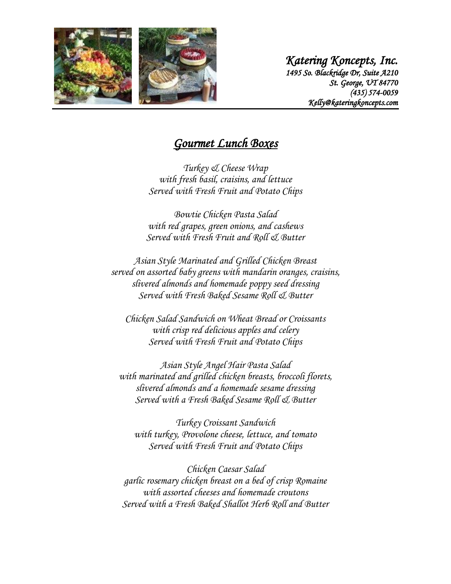

*Katering Koncepts, Inc. 1495 So. Blackridge Dr, Suite A210 St. George, UT 84770 (435) 574-0059 Kelly@kateringkoncepts.com* 

## *Gourmet Lunch Boxes*

*Turkey & Cheese Wrap with fresh basil, craisins, and lettuce Served with Fresh Fruit and Potato Chips*

*Bowtie Chicken Pasta Salad with red grapes, green onions, and cashews Served with Fresh Fruit and Roll & Butter*

*Asian Style Marinated and Grilled Chicken Breast served on assorted baby greens with mandarin oranges, craisins, slivered almonds and homemade poppy seed dressing Served with Fresh Baked Sesame Roll & Butter*

*Chicken Salad Sandwich on Wheat Bread or Croissants with crisp red delicious apples and celery Served with Fresh Fruit and Potato Chips*

*Asian Style Angel Hair Pasta Salad with marinated and grilled chicken breasts, broccoli florets, slivered almonds and a homemade sesame dressing Served with a Fresh Baked Sesame Roll & Butter*

*Turkey Croissant Sandwich with turkey, Provolone cheese, lettuce, and tomato Served with Fresh Fruit and Potato Chips*

*Chicken Caesar Salad garlic rosemary chicken breast on a bed of crisp Romaine with assorted cheeses and homemade croutons Served with a Fresh Baked Shallot Herb Roll and Butter*